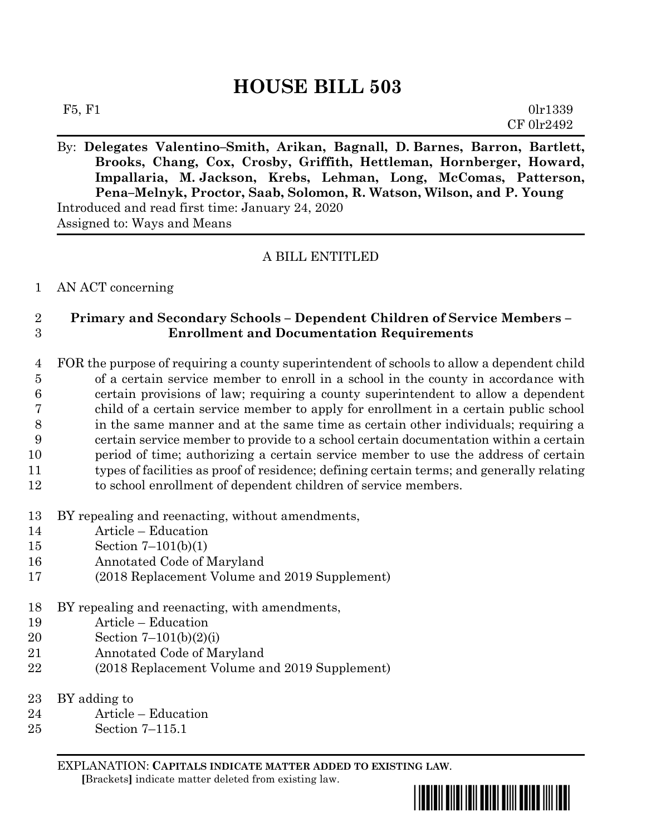# **HOUSE BILL 503**

| F5, F1 | 0lr1339    |
|--------|------------|
|        | CF 0lr2492 |

By: **Delegates Valentino–Smith, Arikan, Bagnall, D. Barnes, Barron, Bartlett, Brooks, Chang, Cox, Crosby, Griffith, Hettleman, Hornberger, Howard, Impallaria, M. Jackson, Krebs, Lehman, Long, McComas, Patterson, Pena–Melnyk, Proctor, Saab, Solomon, R. Watson, Wilson, and P. Young** Introduced and read first time: January 24, 2020 Assigned to: Ways and Means

# A BILL ENTITLED

### AN ACT concerning

# **Primary and Secondary Schools – Dependent Children of Service Members – Enrollment and Documentation Requirements**

 FOR the purpose of requiring a county superintendent of schools to allow a dependent child of a certain service member to enroll in a school in the county in accordance with certain provisions of law; requiring a county superintendent to allow a dependent child of a certain service member to apply for enrollment in a certain public school in the same manner and at the same time as certain other individuals; requiring a certain service member to provide to a school certain documentation within a certain period of time; authorizing a certain service member to use the address of certain types of facilities as proof of residence; defining certain terms; and generally relating to school enrollment of dependent children of service members.

- BY repealing and reenacting, without amendments,
- Article Education
- Section 7–101(b)(1)
- Annotated Code of Maryland
- (2018 Replacement Volume and 2019 Supplement)
- BY repealing and reenacting, with amendments,
- Article Education
- Section 7–101(b)(2)(i)
- Annotated Code of Maryland
- (2018 Replacement Volume and 2019 Supplement)
- BY adding to
- Article Education
- Section 7–115.1

EXPLANATION: **CAPITALS INDICATE MATTER ADDED TO EXISTING LAW**.

 **[**Brackets**]** indicate matter deleted from existing law.

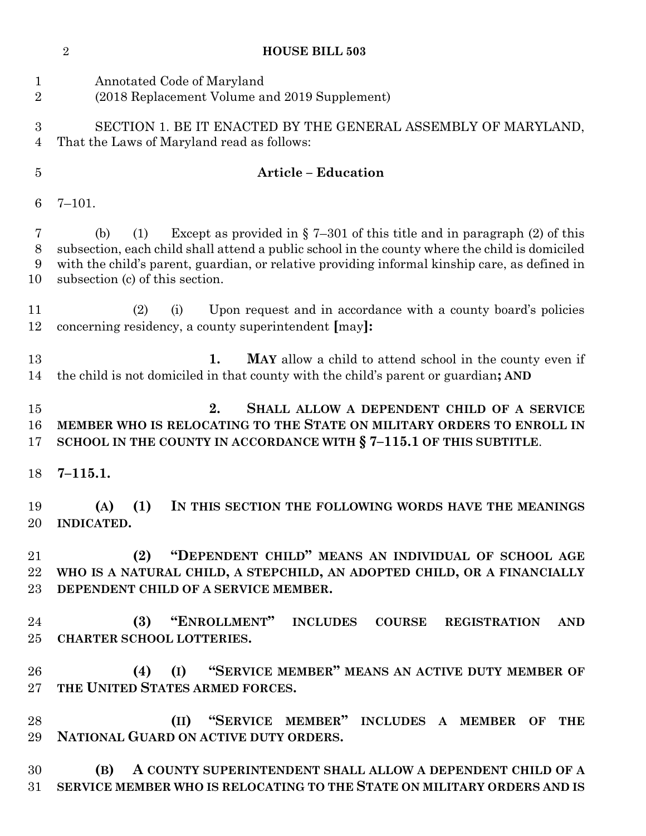| $\sqrt{2}$<br><b>HOUSE BILL 503</b> |                          |                                                                                                                                                                                                                                                                                                                          |
|-------------------------------------|--------------------------|--------------------------------------------------------------------------------------------------------------------------------------------------------------------------------------------------------------------------------------------------------------------------------------------------------------------------|
| $\mathbf 1$<br>$\overline{2}$       |                          | Annotated Code of Maryland<br>(2018 Replacement Volume and 2019 Supplement)                                                                                                                                                                                                                                              |
| 3<br>4                              |                          | SECTION 1. BE IT ENACTED BY THE GENERAL ASSEMBLY OF MARYLAND,<br>That the Laws of Maryland read as follows:                                                                                                                                                                                                              |
| $\overline{5}$                      |                          | <b>Article - Education</b>                                                                                                                                                                                                                                                                                               |
| 6                                   | $7 - 101.$               |                                                                                                                                                                                                                                                                                                                          |
| 7<br>$8\,$<br>9<br>10               | (b)                      | Except as provided in $\S$ 7-301 of this title and in paragraph (2) of this<br>(1)<br>subsection, each child shall attend a public school in the county where the child is domiciled<br>with the child's parent, guardian, or relative providing informal kinship care, as defined in<br>subsection (c) of this section. |
| 11<br>12                            |                          | (i)<br>Upon request and in accordance with a county board's policies<br>(2)<br>concerning residency, a county superintendent [may]:                                                                                                                                                                                      |
| 13<br>14                            |                          | 1.<br>MAY allow a child to attend school in the county even if<br>the child is not domiciled in that county with the child's parent or guardian; AND                                                                                                                                                                     |
| 15<br>16<br>17                      |                          | 2.<br>SHALL ALLOW A DEPENDENT CHILD OF A SERVICE<br>MEMBER WHO IS RELOCATING TO THE STATE ON MILITARY ORDERS TO ENROLL IN<br>SCHOOL IN THE COUNTY IN ACCORDANCE WITH § 7-115.1 OF THIS SUBTITLE.                                                                                                                         |
| 18                                  | $7 - 115.1.$             |                                                                                                                                                                                                                                                                                                                          |
| 19<br>20                            | (A)<br><b>INDICATED.</b> | (1)<br>IN THIS SECTION THE FOLLOWING WORDS HAVE THE MEANINGS                                                                                                                                                                                                                                                             |
| 21<br>22<br>23                      |                          | "DEPENDENT CHILD" MEANS AN INDIVIDUAL OF SCHOOL AGE<br>(2)<br>WHO IS A NATURAL CHILD, A STEPCHILD, AN ADOPTED CHILD, OR A FINANCIALLY<br>DEPENDENT CHILD OF A SERVICE MEMBER.                                                                                                                                            |
| 24<br>25                            |                          | "ENROLLMENT" INCLUDES<br>(3)<br><b>COURSE</b><br><b>REGISTRATION</b><br><b>AND</b><br><b>CHARTER SCHOOL LOTTERIES.</b>                                                                                                                                                                                                   |
| 26<br>$27\,$                        |                          | "SERVICE MEMBER" MEANS AN ACTIVE DUTY MEMBER OF<br>(4)<br>(I)<br>THE UNITED STATES ARMED FORCES.                                                                                                                                                                                                                         |
| 28<br>29                            |                          | "SERVICE MEMBER" INCLUDES A MEMBER OF<br>(II)<br><b>THE</b><br>NATIONAL GUARD ON ACTIVE DUTY ORDERS.                                                                                                                                                                                                                     |
| 30<br>31                            | (B)                      | A COUNTY SUPERINTENDENT SHALL ALLOW A DEPENDENT CHILD OF A<br>SERVICE MEMBER WHO IS RELOCATING TO THE STATE ON MILITARY ORDERS AND IS                                                                                                                                                                                    |